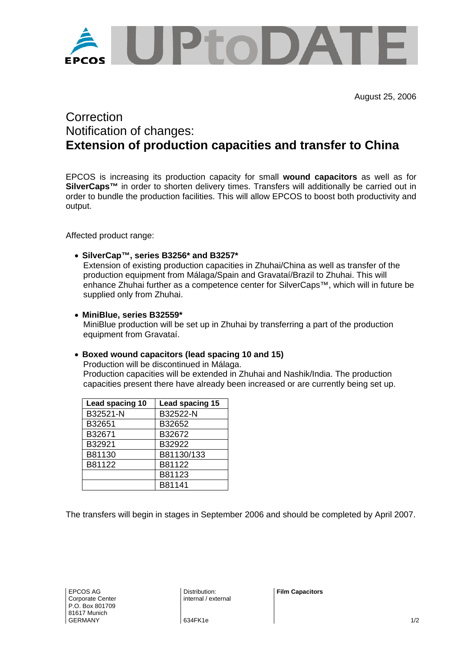

August 25, 2006

# **Correction** Notification of changes: **Extension of production capacities and transfer to China**

EPCOS is increasing its production capacity for small **wound capacitors** as well as for **SilverCaps™** in order to shorten delivery times. Transfers will additionally be carried out in order to bundle the production facilities. This will allow EPCOS to boost both productivity and output.

Affected product range:

• **SilverCap™, series B3256\* and B3257\***

Extension of existing production capacities in Zhuhai/China as well as transfer of the production equipment from Málaga/Spain and Gravataí/Brazil to Zhuhai. This will enhance Zhuhai further as a competence center for SilverCaps™, which will in future be supplied only from Zhuhai.

• **MiniBlue, series B32559\***

MiniBlue production will be set up in Zhuhai by transferring a part of the production equipment from Gravataí.

## • **Boxed wound capacitors (lead spacing 10 and 15)**

Production will be discontinued in Málaga. Production capacities will be extended in Zhuhai and Nashik/India. The production capacities present there have already been increased or are currently being set up.

| Lead spacing 10 | Lead spacing 15 |  |
|-----------------|-----------------|--|
| B32521-N        | B32522-N        |  |
| B32651          | B32652          |  |
| B32671          | B32672          |  |
| B32921          | B32922          |  |
| B81130          | B81130/133      |  |
| B81122          | B81122          |  |
|                 | B81123          |  |
|                 | B81141          |  |

The transfers will begin in stages in September 2006 and should be completed by April 2007.

Distribution: internal / external **Film Capacitors**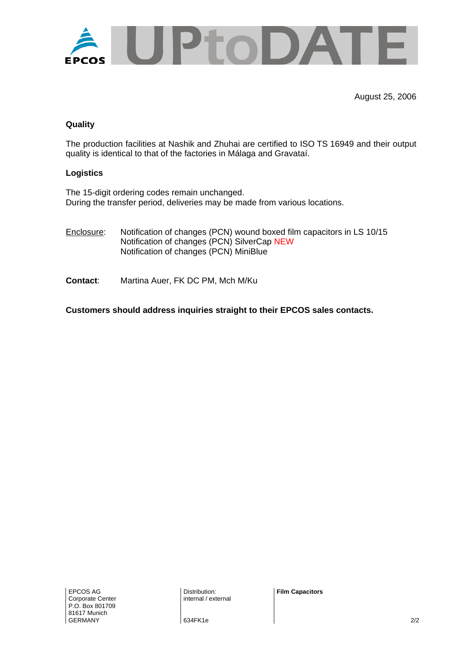

August 25, 2006

## **Quality**

The production facilities at Nashik and Zhuhai are certified to ISO TS 16949 and their output quality is identical to that of the factories in Málaga and Gravataí.

#### **Logistics**

The 15-digit ordering codes remain unchanged. During the transfer period, deliveries may be made from various locations.

- Enclosure: Notification of changes (PCN) wound boxed film capacitors in LS 10/15 Notification of changes (PCN) SilverCap NEW Notification of changes (PCN) MiniBlue
- **Contact**: Martina Auer, FK DC PM, Mch M/Ku

**Customers should address inquiries straight to their EPCOS sales contacts.**

Distribution: internal / external **Film Capacitors** 

634FK1e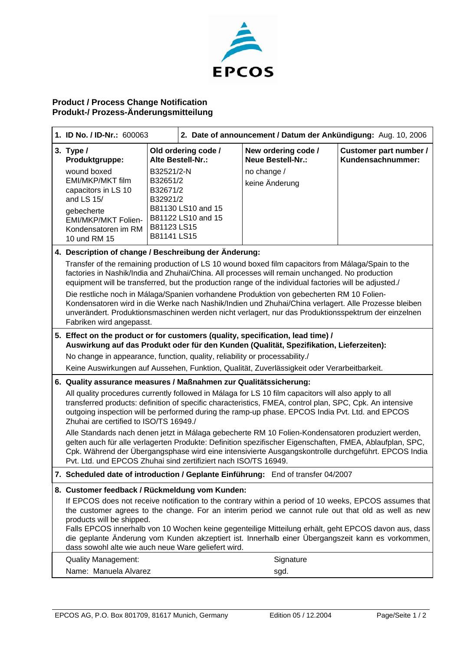

## **Product / Process Change Notification Produkt-/ Prozess-Änderungsmitteilung**

| 1. ID No. / ID-Nr.: 600063                                                                                                                                                                                                                                                                                                                                                                                                                                                                                                                                                                                                                            |                                                                              | 2. Date of announcement / Datum der Ankündigung: Aug. 10, 2006                       |                                                                                             |                                             |
|-------------------------------------------------------------------------------------------------------------------------------------------------------------------------------------------------------------------------------------------------------------------------------------------------------------------------------------------------------------------------------------------------------------------------------------------------------------------------------------------------------------------------------------------------------------------------------------------------------------------------------------------------------|------------------------------------------------------------------------------|--------------------------------------------------------------------------------------|---------------------------------------------------------------------------------------------|---------------------------------------------|
| 3. Type $/$<br>Produktgruppe:<br>wound boxed<br>EMI/MKP/MKT film<br>capacitors in LS 10<br>and LS 15/<br>gebecherte<br>EMI/MKP/MKT Folien-<br>Kondensatoren im RM<br>10 und RM 15                                                                                                                                                                                                                                                                                                                                                                                                                                                                     | B32521/2-N<br>B32651/2<br>B32671/2<br>B32921/2<br>B81123 LS15<br>B81141 LS15 | Old ordering code /<br>Alte Bestell-Nr.:<br>B81130 LS10 and 15<br>B81122 LS10 and 15 | New ordering code /<br><b>Neue Bestell-Nr.:</b><br>no change /<br>keine Änderung            | Customer part number /<br>Kundensachnummer: |
| 4. Description of change / Beschreibung der Änderung:                                                                                                                                                                                                                                                                                                                                                                                                                                                                                                                                                                                                 |                                                                              |                                                                                      |                                                                                             |                                             |
| Transfer of the remaining production of LS 10 wound boxed film capacitors from Málaga/Spain to the<br>factories in Nashik/India and Zhuhai/China. All processes will remain unchanged. No production<br>equipment will be transferred, but the production range of the individual factories will be adjusted./<br>Die restliche noch in Málaga/Spanien vorhandene Produktion von gebecherten RM 10 Folien-<br>Kondensatoren wird in die Werke nach Nashik/Indien und Zhuhai/China verlagert. Alle Prozesse bleiben<br>unverändert. Produktionsmaschinen werden nicht verlagert, nur das Produktionsspektrum der einzelnen<br>Fabriken wird angepasst. |                                                                              |                                                                                      |                                                                                             |                                             |
|                                                                                                                                                                                                                                                                                                                                                                                                                                                                                                                                                                                                                                                       |                                                                              |                                                                                      | 5. Effect on the product or for customers (quality, specification, lead time) /             |                                             |
| Auswirkung auf das Produkt oder für den Kunden (Qualität, Spezifikation, Lieferzeiten):<br>No change in appearance, function, quality, reliability or processability./                                                                                                                                                                                                                                                                                                                                                                                                                                                                                |                                                                              |                                                                                      |                                                                                             |                                             |
|                                                                                                                                                                                                                                                                                                                                                                                                                                                                                                                                                                                                                                                       |                                                                              |                                                                                      | Keine Auswirkungen auf Aussehen, Funktion, Qualität, Zuverlässigkeit oder Verarbeitbarkeit. |                                             |
| 6. Quality assurance measures / Maßnahmen zur Qualitätssicherung:                                                                                                                                                                                                                                                                                                                                                                                                                                                                                                                                                                                     |                                                                              |                                                                                      |                                                                                             |                                             |
| All quality procedures currently followed in Málaga for LS 10 film capacitors will also apply to all<br>transferred products: definition of specific characteristics, FMEA, control plan, SPC, Cpk. An intensive<br>outgoing inspection will be performed during the ramp-up phase. EPCOS India Pvt. Ltd. and EPCOS<br>Zhuhai are certified to ISO/TS 16949./                                                                                                                                                                                                                                                                                         |                                                                              |                                                                                      |                                                                                             |                                             |
| Alle Standards nach denen jetzt in Málaga gebecherte RM 10 Folien-Kondensatoren produziert werden,<br>gelten auch für alle verlagerten Produkte: Definition spezifischer Eigenschaften, FMEA, Ablaufplan, SPC,<br>Cpk. Während der Übergangsphase wird eine intensivierte Ausgangskontrolle durchgeführt. EPCOS India<br>Pvt. Ltd. und EPCOS Zhuhai sind zertifiziert nach ISO/TS 16949.                                                                                                                                                                                                                                                              |                                                                              |                                                                                      |                                                                                             |                                             |
| 7. Scheduled date of introduction / Geplante Einführung: End of transfer 04/2007                                                                                                                                                                                                                                                                                                                                                                                                                                                                                                                                                                      |                                                                              |                                                                                      |                                                                                             |                                             |
| 8. Customer feedback / Rückmeldung vom Kunden:<br>If EPCOS does not receive notification to the contrary within a period of 10 weeks, EPCOS assumes that<br>the customer agrees to the change. For an interim period we cannot rule out that old as well as new<br>products will be shipped.<br>Falls EPCOS innerhalb von 10 Wochen keine gegenteilige Mitteilung erhält, geht EPCOS davon aus, dass<br>die geplante Änderung vom Kunden akzeptiert ist. Innerhalb einer Übergangszeit kann es vorkommen,<br>dass sowohl alte wie auch neue Ware geliefert wird.                                                                                      |                                                                              |                                                                                      |                                                                                             |                                             |
| <b>Quality Management:</b>                                                                                                                                                                                                                                                                                                                                                                                                                                                                                                                                                                                                                            |                                                                              |                                                                                      | Signature                                                                                   |                                             |
| Name: Manuela Alvarez<br>sgd.                                                                                                                                                                                                                                                                                                                                                                                                                                                                                                                                                                                                                         |                                                                              |                                                                                      |                                                                                             |                                             |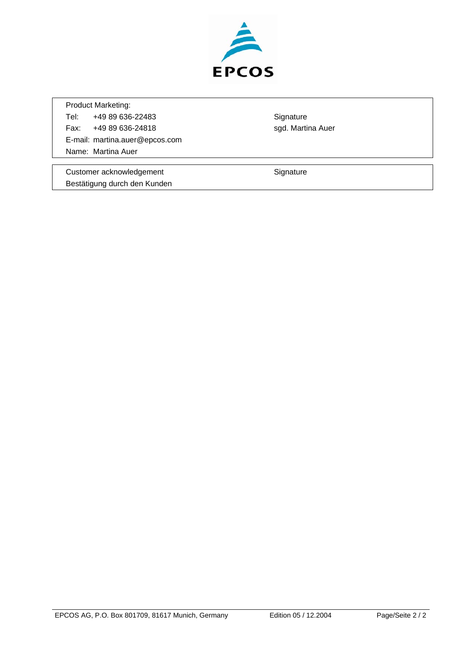

Product Marketing: Tel: +49 89 636-22483 Signature Fax: +49 89 636-24818 sgd. Martina Auer E-mail: martina.auer@epcos.com Name: Martina Auer

Customer acknowledgement **Signature** Signature Bestätigung durch den Kunden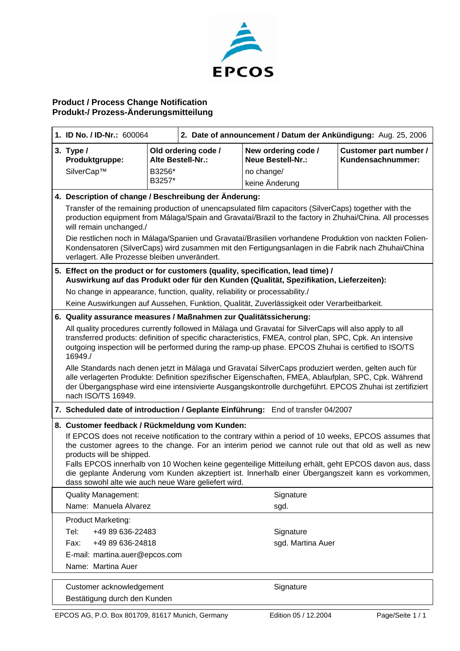

## **Product / Process Change Notification Produkt-/ Prozess-Änderungsmitteilung**

| 1. ID No. / ID-Nr.: 600064                                                                                                                                                                                                                                                                                                                                                                                                                                                                                                                                       |                  | 2. Date of announcement / Datum der Ankündigung: Aug. 25, 2006 |                                                                                             |                                             |
|------------------------------------------------------------------------------------------------------------------------------------------------------------------------------------------------------------------------------------------------------------------------------------------------------------------------------------------------------------------------------------------------------------------------------------------------------------------------------------------------------------------------------------------------------------------|------------------|----------------------------------------------------------------|---------------------------------------------------------------------------------------------|---------------------------------------------|
| 3. Type $/$<br>Produktgruppe:<br>SilverCap™                                                                                                                                                                                                                                                                                                                                                                                                                                                                                                                      | B3256*<br>B3257* | Old ordering code /<br>Alte Bestell-Nr.:                       | New ordering code /<br><b>Neue Bestell-Nr.:</b><br>no change/<br>keine Änderung             | Customer part number /<br>Kundensachnummer: |
| 4. Description of change / Beschreibung der Änderung:                                                                                                                                                                                                                                                                                                                                                                                                                                                                                                            |                  |                                                                |                                                                                             |                                             |
| Transfer of the remaining production of unencapsulated film capacitors (SilverCaps) together with the<br>production equipment from Málaga/Spain and Gravataí/Brazil to the factory in Zhuhai/China. All processes<br>will remain unchanged./                                                                                                                                                                                                                                                                                                                     |                  |                                                                |                                                                                             |                                             |
| Die restlichen noch in Málaga/Spanien und Gravataí/Brasilien vorhandene Produktion von nackten Folien-<br>Kondensatoren (SilverCaps) wird zusammen mit den Fertigungsanlagen in die Fabrik nach Zhuhai/China<br>verlagert. Alle Prozesse bleiben unverändert.                                                                                                                                                                                                                                                                                                    |                  |                                                                |                                                                                             |                                             |
| 5. Effect on the product or for customers (quality, specification, lead time) /<br>Auswirkung auf das Produkt oder für den Kunden (Qualität, Spezifikation, Lieferzeiten):                                                                                                                                                                                                                                                                                                                                                                                       |                  |                                                                |                                                                                             |                                             |
| No change in appearance, function, quality, reliability or processability./                                                                                                                                                                                                                                                                                                                                                                                                                                                                                      |                  |                                                                |                                                                                             |                                             |
|                                                                                                                                                                                                                                                                                                                                                                                                                                                                                                                                                                  |                  |                                                                | Keine Auswirkungen auf Aussehen, Funktion, Qualität, Zuverlässigkeit oder Verarbeitbarkeit. |                                             |
| 6. Quality assurance measures / Maßnahmen zur Qualitätssicherung:                                                                                                                                                                                                                                                                                                                                                                                                                                                                                                |                  |                                                                |                                                                                             |                                             |
| All quality procedures currently followed in Málaga und Gravataí for SilverCaps will also apply to all<br>transferred products: definition of specific characteristics, FMEA, control plan, SPC, Cpk. An intensive<br>outgoing inspection will be performed during the ramp-up phase. EPCOS Zhuhai is certified to ISO/TS<br>16949./                                                                                                                                                                                                                             |                  |                                                                |                                                                                             |                                             |
| Alle Standards nach denen jetzt in Málaga und Gravataí SilverCaps produziert werden, gelten auch für<br>alle verlagerten Produkte: Definition spezifischer Eigenschaften, FMEA, Ablaufplan, SPC, Cpk. Während<br>der Übergangsphase wird eine intensivierte Ausgangskontrolle durchgeführt. EPCOS Zhuhai ist zertifiziert<br>nach ISO/TS 16949.                                                                                                                                                                                                                  |                  |                                                                |                                                                                             |                                             |
|                                                                                                                                                                                                                                                                                                                                                                                                                                                                                                                                                                  |                  |                                                                | 7. Scheduled date of introduction / Geplante Einführung: End of transfer 04/2007            |                                             |
| 8. Customer feedback / Rückmeldung vom Kunden:<br>If EPCOS does not receive notification to the contrary within a period of 10 weeks, EPCOS assumes that<br>the customer agrees to the change. For an interim period we cannot rule out that old as well as new<br>products will be shipped.<br>Falls EPCOS innerhalb von 10 Wochen keine gegenteilige Mitteilung erhält, geht EPCOS davon aus, dass<br>die geplante Änderung vom Kunden akzeptiert ist. Innerhalb einer Übergangszeit kann es vorkommen,<br>dass sowohl alte wie auch neue Ware geliefert wird. |                  |                                                                |                                                                                             |                                             |
| <b>Quality Management:</b>                                                                                                                                                                                                                                                                                                                                                                                                                                                                                                                                       |                  |                                                                | Signature                                                                                   |                                             |
| Name: Manuela Alvarez                                                                                                                                                                                                                                                                                                                                                                                                                                                                                                                                            |                  |                                                                | sgd.                                                                                        |                                             |
| Product Marketing:                                                                                                                                                                                                                                                                                                                                                                                                                                                                                                                                               |                  |                                                                |                                                                                             |                                             |
| +49 89 636-22483<br>Tel:                                                                                                                                                                                                                                                                                                                                                                                                                                                                                                                                         |                  |                                                                | Signature                                                                                   |                                             |
| +49 89 636-24818<br>Fax:                                                                                                                                                                                                                                                                                                                                                                                                                                                                                                                                         |                  |                                                                | sgd. Martina Auer                                                                           |                                             |
| E-mail: martina.auer@epcos.com                                                                                                                                                                                                                                                                                                                                                                                                                                                                                                                                   |                  |                                                                |                                                                                             |                                             |
| Name: Martina Auer                                                                                                                                                                                                                                                                                                                                                                                                                                                                                                                                               |                  |                                                                |                                                                                             |                                             |
| Customer acknowledgement                                                                                                                                                                                                                                                                                                                                                                                                                                                                                                                                         |                  |                                                                | Signature                                                                                   |                                             |

Bestätigung durch den Kunden